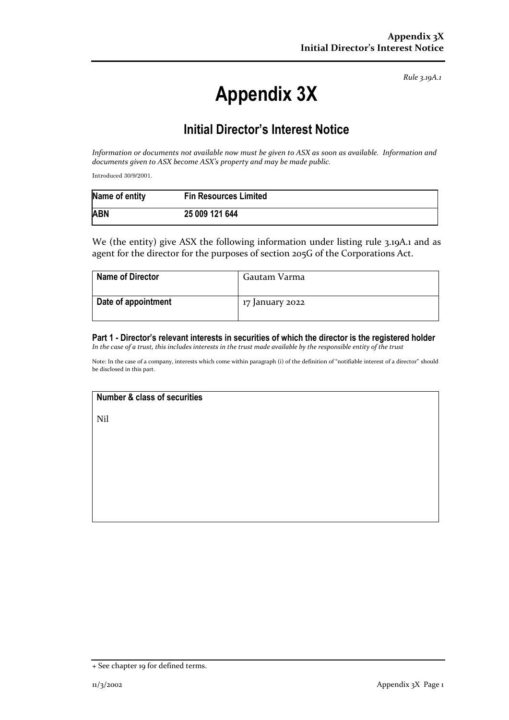*Rule 3.19A.1*

# **Appendix 3X**

## **Initial Director's Interest Notice**

*Information or documents not available now must be given to ASX as soon as available. Information and documents given to ASX become ASX's property and may be made public.*

Introduced 30/9/2001.

| Name of entity | <b>Fin Resources Limited</b> |
|----------------|------------------------------|
| <b>ABN</b>     | 25 009 121 644               |

We (the entity) give ASX the following information under listing rule 3.19A.1 and as agent for the director for the purposes of section 205G of the Corporations Act.

| <b>Name of Director</b> | Gautam Varma    |
|-------------------------|-----------------|
| Date of appointment     | 17 January 2022 |

### **Part 1 - Director's relevant interests in securities of which the director is the registered holder**

*In the case of a trust, this includes interests in the trust made available by the responsible entity of the trust*

Note: In the case of a company, interests which come within paragraph (i) of the definition of "notifiable interest of a director" should be disclosed in this part.

#### **Number & class of securities**

Nil

<sup>+</sup> See chapter 19 for defined terms.